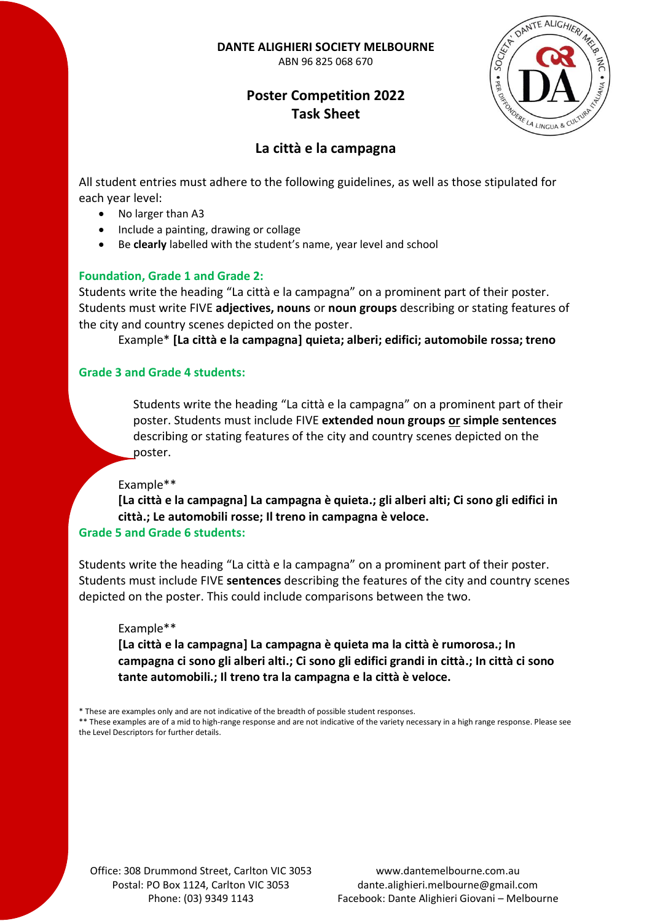**DANTE ALIGHIERI SOCIETY MELBOURNE**

ABN 96 825 068 670

# **Poster Competition 2022 Task Sheet**



## **La città e la campagna**

All student entries must adhere to the following guidelines, as well as those stipulated for each year level:

- No larger than A3
- Include a painting, drawing or collage
- Be **clearly** labelled with the student's name, year level and school

## **Foundation, Grade 1 and Grade 2:**

Students write the heading "La città e la campagna" on a prominent part of their poster. Students must write FIVE **adjectives, nouns** or **noun groups** describing or stating features of the city and country scenes depicted on the poster.

Example\* **[La città e la campagna] quieta; alberi; edifici; automobile rossa; treno**

### **Grade 3 and Grade 4 students:**

Students write the heading "La città e la campagna" on a prominent part of their poster. Students must include FIVE **extended noun groups or simple sentences** describing or stating features of the city and country scenes depicted on the poster.

### Example\*\*

**[La città e la campagna] La campagna è quieta.; gli alberi alti; Ci sono gli edifici in città.; Le automobili rosse; Il treno in campagna è veloce.**

### **Grade 5 and Grade 6 students:**

Students write the heading "La città e la campagna" on a prominent part of their poster. Students must include FIVE **sentences** describing the features of the city and country scenes depicted on the poster. This could include comparisons between the two.

### Example\*\*

**[La città e la campagna] La campagna è quieta ma la città è rumorosa.; In campagna ci sono gli alberi alti.; Ci sono gli edifici grandi in città.; In città ci sono tante automobili.; Il treno tra la campagna e la città è veloce.**

\* These are examples only and are not indicative of the breadth of possible student responses.

\*\* These examples are of a mid to high-range response and are not indicative of the variety necessary in a high range response. Please see the Level Descriptors for further details.

Office: 308 Drummond Street, Carlton VIC 3053 Postal: PO Box 1124, Carlton VIC 3053 Phone: (03) 9349 1143

www.dantemelbourne.com.au dante.alighieri.melbourne@gmail.com Facebook: Dante Alighieri Giovani – Melbourne